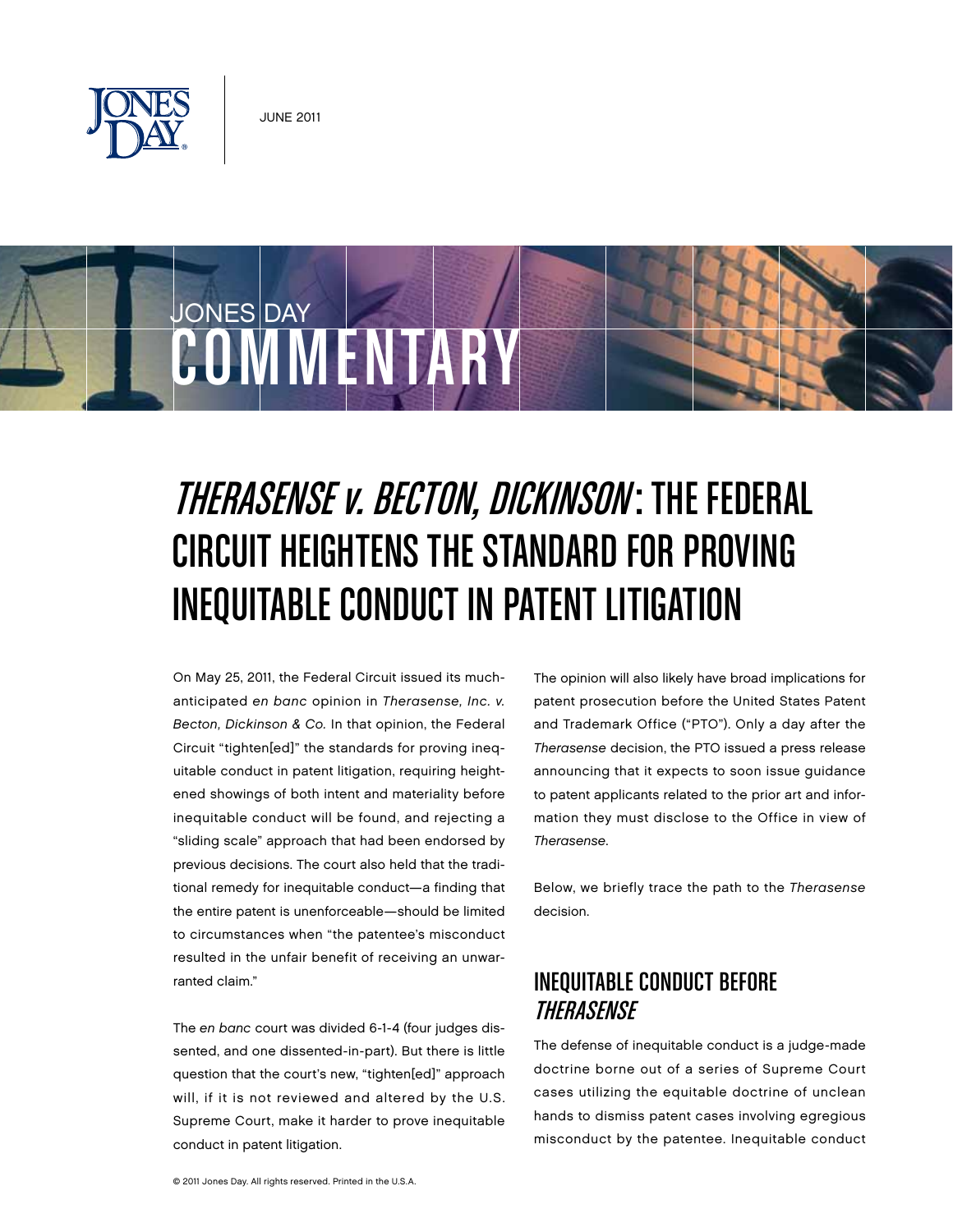



# THERASENSE *v. BECTON, DICKINSON*: THE FEDERAL Circuit Heightens the Standard for Proving Inequitable Conduct in Patent Litigation

On May 25, 2011, the Federal Circuit issued its muchanticipated en banc opinion in Therasense, Inc. v. Becton, Dickinson & Co. In that opinion, the Federal Circuit "tighten[ed]" the standards for proving inequitable conduct in patent litigation, requiring heightened showings of both intent and materiality before inequitable conduct will be found, and rejecting a "sliding scale" approach that had been endorsed by previous decisions. The court also held that the traditional remedy for inequitable conduct—a finding that the entire patent is unenforceable—should be limited to circumstances when "the patentee's misconduct resulted in the unfair benefit of receiving an unwarranted claim."

The en banc court was divided 6-1-4 (four judges dissented, and one dissented-in-part). But there is little question that the court's new, "tighten[ed]" approach will, if it is not reviewed and altered by the U.S. Supreme Court, make it harder to prove inequitable conduct in patent litigation.

The opinion will also likely have broad implications for patent prosecution before the United States Patent and Trademark Office ("PTO"). Only a day after the Therasense decision, the PTO issued a press release announcing that it expects to soon issue guidance to patent applicants related to the prior art and information they must disclose to the Office in view of Therasense.

Below, we briefly trace the path to the Therasense decision.

## Inequitable Conduct Before Therasense

The defense of inequitable conduct is a judge-made doctrine borne out of a series of Supreme Court cases utilizing the equitable doctrine of unclean hands to dismiss patent cases involving egregious misconduct by the patentee. Inequitable conduct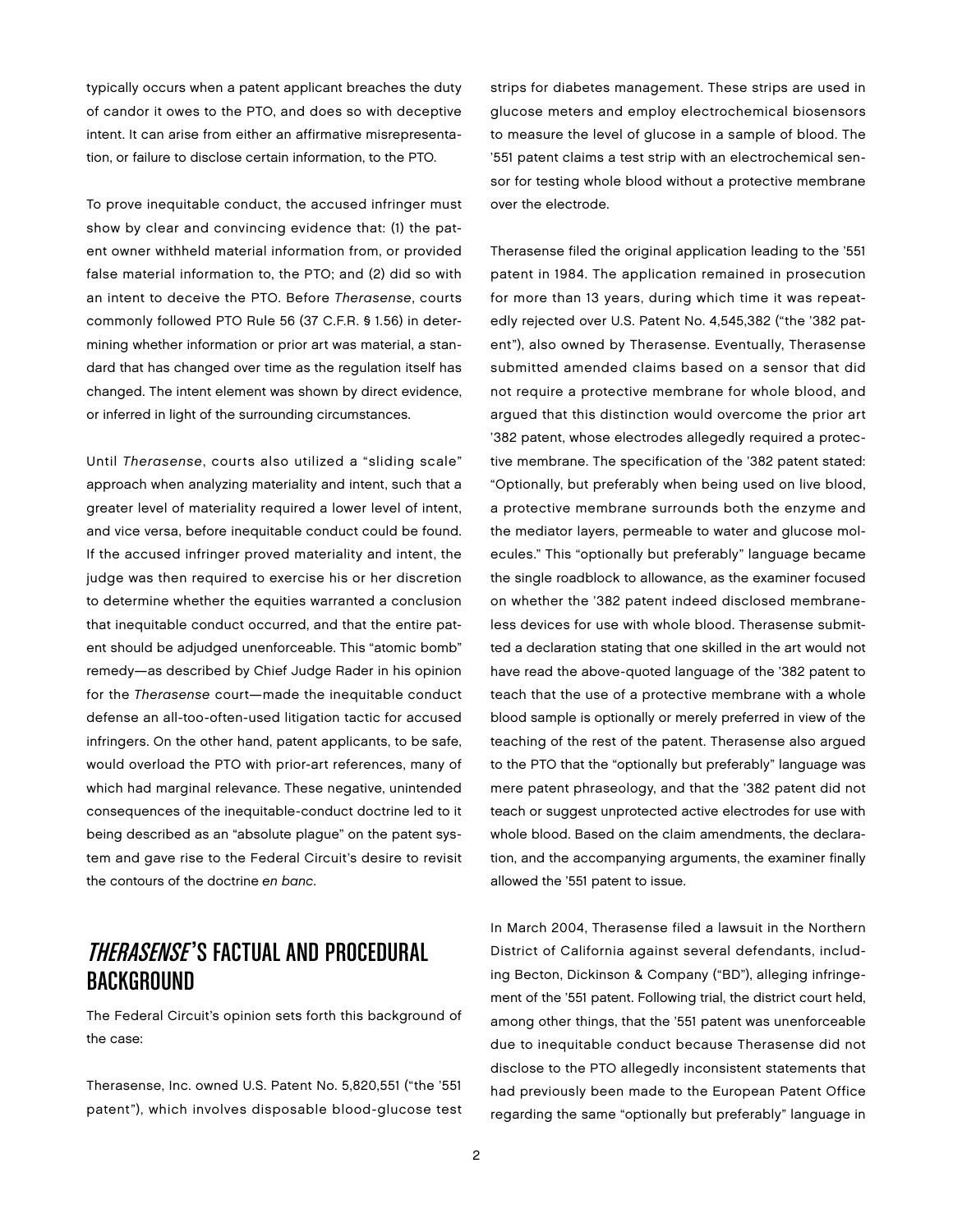typically occurs when a patent applicant breaches the duty of candor it owes to the PTO, and does so with deceptive intent. It can arise from either an affirmative misrepresentation, or failure to disclose certain information, to the PTO.

To prove inequitable conduct, the accused infringer must show by clear and convincing evidence that: (1) the patent owner withheld material information from, or provided false material information to, the PTO; and (2) did so with an intent to deceive the PTO. Before Therasense, courts commonly followed PTO Rule 56 (37 C.F.R. § 1.56) in determining whether information or prior art was material, a standard that has changed over time as the regulation itself has changed. The intent element was shown by direct evidence, or inferred in light of the surrounding circumstances.

Until Therasense, courts also utilized a "sliding scale" approach when analyzing materiality and intent, such that a greater level of materiality required a lower level of intent, and vice versa, before inequitable conduct could be found. If the accused infringer proved materiality and intent, the judge was then required to exercise his or her discretion to determine whether the equities warranted a conclusion that inequitable conduct occurred, and that the entire patent should be adjudged unenforceable. This "atomic bomb" remedy—as described by Chief Judge Rader in his opinion for the Therasense court—made the inequitable conduct defense an all-too-often-used litigation tactic for accused infringers. On the other hand, patent applicants, to be safe, would overload the PTO with prior-art references, many of which had marginal relevance. These negative, unintended consequences of the inequitable-conduct doctrine led to it being described as an "absolute plague" on the patent system and gave rise to the Federal Circuit's desire to revisit the contours of the doctrine en banc.

## THERASENSE'S FACTUAL AND PROCEDURAL Background

The Federal Circuit's opinion sets forth this background of the case:

Therasense, Inc. owned U.S. Patent No. 5,820,551 ("the '551 patent"), which involves disposable blood-glucose test strips for diabetes management. These strips are used in glucose meters and employ electrochemical biosensors to measure the level of glucose in a sample of blood. The '551 patent claims a test strip with an electrochemical sensor for testing whole blood without a protective membrane over the electrode.

Therasense filed the original application leading to the '551 patent in 1984. The application remained in prosecution for more than 13 years, during which time it was repeatedly rejected over U.S. Patent No. 4,545,382 ("the '382 patent"), also owned by Therasense. Eventually, Therasense submitted amended claims based on a sensor that did not require a protective membrane for whole blood, and argued that this distinction would overcome the prior art '382 patent, whose electrodes allegedly required a protective membrane. The specification of the '382 patent stated: "Optionally, but preferably when being used on live blood, a protective membrane surrounds both the enzyme and the mediator layers, permeable to water and glucose molecules." This "optionally but preferably" language became the single roadblock to allowance, as the examiner focused on whether the '382 patent indeed disclosed membraneless devices for use with whole blood. Therasense submitted a declaration stating that one skilled in the art would not have read the above-quoted language of the '382 patent to teach that the use of a protective membrane with a whole blood sample is optionally or merely preferred in view of the teaching of the rest of the patent. Therasense also argued to the PTO that the "optionally but preferably" language was mere patent phraseology, and that the '382 patent did not teach or suggest unprotected active electrodes for use with whole blood. Based on the claim amendments, the declaration, and the accompanying arguments, the examiner finally allowed the '551 patent to issue.

In March 2004, Therasense filed a lawsuit in the Northern District of California against several defendants, including Becton, Dickinson & Company ("BD"), alleging infringement of the '551 patent. Following trial, the district court held, among other things, that the '551 patent was unenforceable due to inequitable conduct because Therasense did not disclose to the PTO allegedly inconsistent statements that had previously been made to the European Patent Office regarding the same "optionally but preferably" language in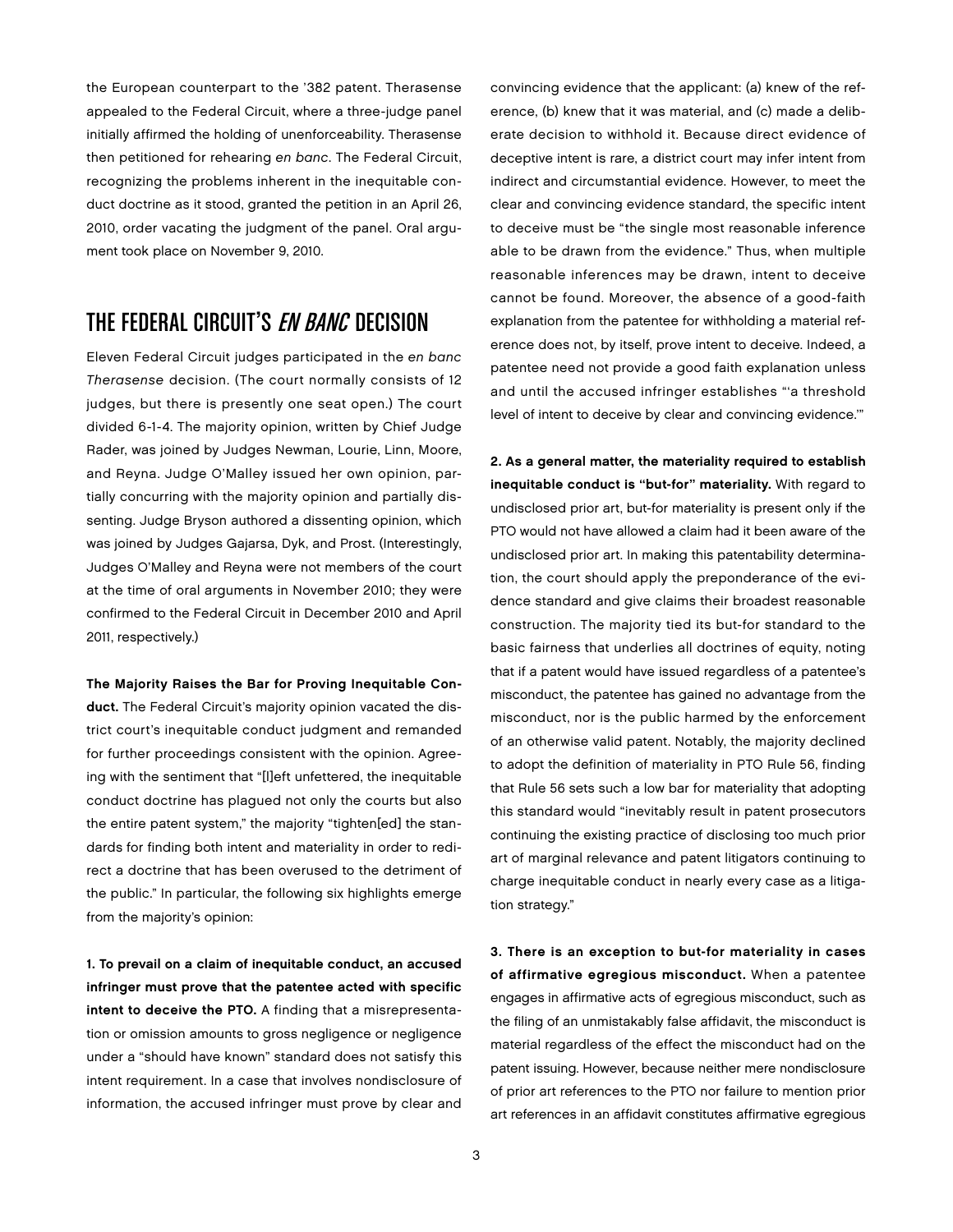the European counterpart to the '382 patent. Therasense appealed to the Federal Circuit, where a three-judge panel initially affirmed the holding of unenforceability. Therasense then petitioned for rehearing en banc. The Federal Circuit, recognizing the problems inherent in the inequitable conduct doctrine as it stood, granted the petition in an April 26, 2010, order vacating the judgment of the panel. Oral argument took place on November 9, 2010.

#### THE FEDERAL CIRCUIT'S *EN BANC* DECISION

Eleven Federal Circuit judges participated in the en banc Therasense decision. (The court normally consists of 12 judges, but there is presently one seat open.) The court divided 6-1-4. The majority opinion, written by Chief Judge Rader, was joined by Judges Newman, Lourie, Linn, Moore, and Reyna. Judge O'Malley issued her own opinion, partially concurring with the majority opinion and partially dissenting. Judge Bryson authored a dissenting opinion, which was joined by Judges Gajarsa, Dyk, and Prost. (Interestingly, Judges O'Malley and Reyna were not members of the court at the time of oral arguments in November 2010; they were confirmed to the Federal Circuit in December 2010 and April 2011, respectively.)

The Majority Raises the Bar for Proving Inequitable Conduct. The Federal Circuit's majority opinion vacated the district court's inequitable conduct judgment and remanded for further proceedings consistent with the opinion. Agreeing with the sentiment that "[l]eft unfettered, the inequitable conduct doctrine has plagued not only the courts but also the entire patent system," the majority "tighten[ed] the standards for finding both intent and materiality in order to redirect a doctrine that has been overused to the detriment of the public." In particular, the following six highlights emerge from the majority's opinion:

1. To prevail on a claim of inequitable conduct, an accused infringer must prove that the patentee acted with specific intent to deceive the PTO. A finding that a misrepresentation or omission amounts to gross negligence or negligence under a "should have known" standard does not satisfy this intent requirement. In a case that involves nondisclosure of information, the accused infringer must prove by clear and

convincing evidence that the applicant: (a) knew of the reference, (b) knew that it was material, and (c) made a deliberate decision to withhold it. Because direct evidence of deceptive intent is rare, a district court may infer intent from indirect and circumstantial evidence. However, to meet the clear and convincing evidence standard, the specific intent to deceive must be "the single most reasonable inference able to be drawn from the evidence." Thus, when multiple reasonable inferences may be drawn, intent to deceive cannot be found. Moreover, the absence of a good-faith explanation from the patentee for withholding a material reference does not, by itself, prove intent to deceive. Indeed, a patentee need not provide a good faith explanation unless and until the accused infringer establishes "'a threshold level of intent to deceive by clear and convincing evidence.'"

2. As a general matter, the materiality required to establish inequitable conduct is "but-for" materiality. With regard to undisclosed prior art, but-for materiality is present only if the PTO would not have allowed a claim had it been aware of the undisclosed prior art. In making this patentability determination, the court should apply the preponderance of the evidence standard and give claims their broadest reasonable construction. The majority tied its but-for standard to the basic fairness that underlies all doctrines of equity, noting that if a patent would have issued regardless of a patentee's misconduct, the patentee has gained no advantage from the misconduct, nor is the public harmed by the enforcement of an otherwise valid patent. Notably, the majority declined to adopt the definition of materiality in PTO Rule 56, finding that Rule 56 sets such a low bar for materiality that adopting this standard would "inevitably result in patent prosecutors continuing the existing practice of disclosing too much prior art of marginal relevance and patent litigators continuing to charge inequitable conduct in nearly every case as a litigation strategy."

3. There is an exception to but-for materiality in cases of affirmative egregious misconduct. When a patentee engages in affirmative acts of egregious misconduct, such as the filing of an unmistakably false affidavit, the misconduct is material regardless of the effect the misconduct had on the patent issuing. However, because neither mere nondisclosure of prior art references to the PTO nor failure to mention prior art references in an affidavit constitutes affirmative egregious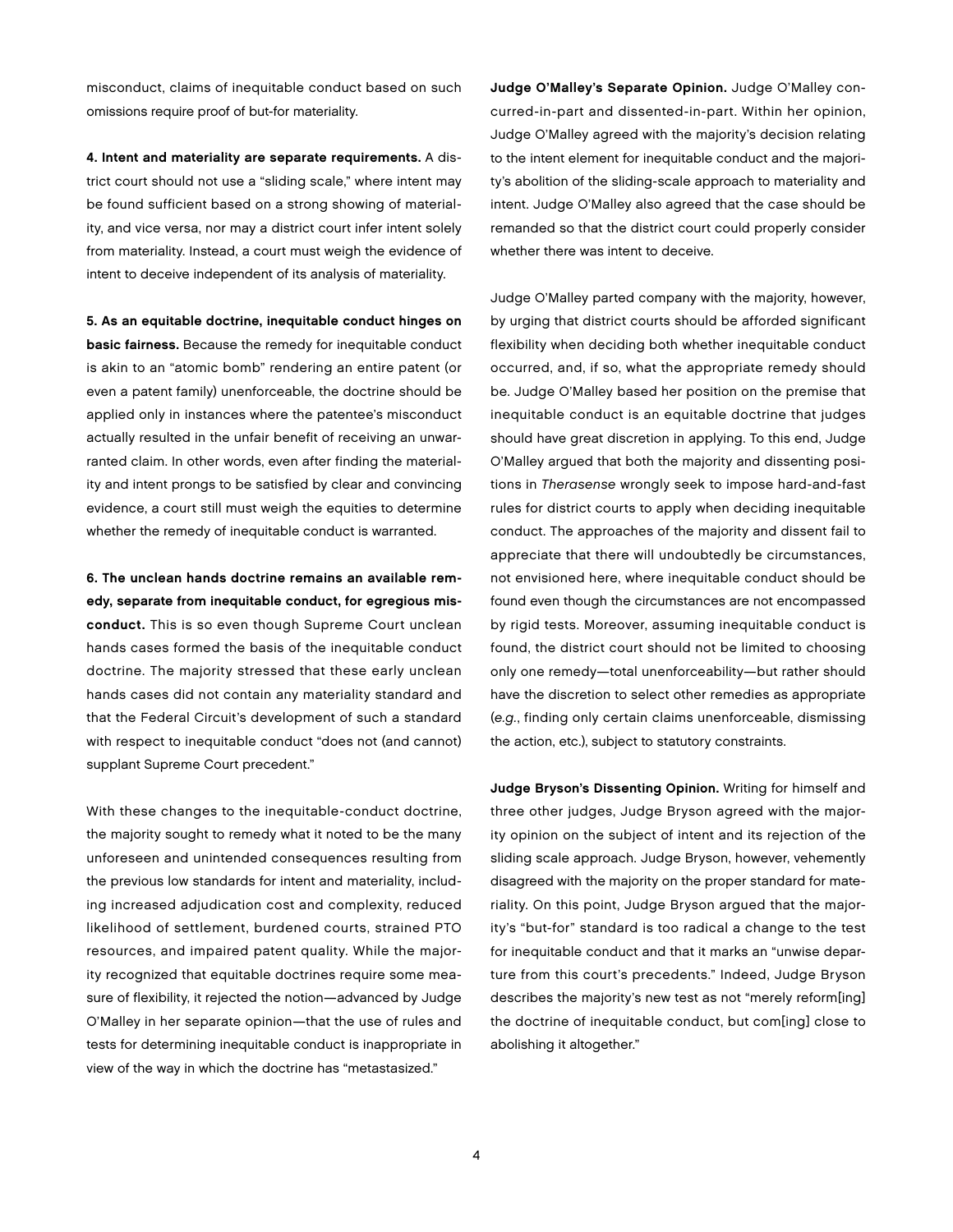misconduct, claims of inequitable conduct based on such omissions require proof of but-for materiality.

4. Intent and materiality are separate requirements. A district court should not use a "sliding scale," where intent may be found sufficient based on a strong showing of materiality, and vice versa, nor may a district court infer intent solely from materiality. Instead, a court must weigh the evidence of intent to deceive independent of its analysis of materiality.

5. As an equitable doctrine, inequitable conduct hinges on basic fairness. Because the remedy for inequitable conduct is akin to an "atomic bomb" rendering an entire patent (or even a patent family) unenforceable, the doctrine should be applied only in instances where the patentee's misconduct actually resulted in the unfair benefit of receiving an unwarranted claim. In other words, even after finding the materiality and intent prongs to be satisfied by clear and convincing evidence, a court still must weigh the equities to determine whether the remedy of inequitable conduct is warranted.

6. The unclean hands doctrine remains an available remedy, separate from inequitable conduct, for egregious misconduct. This is so even though Supreme Court unclean hands cases formed the basis of the inequitable conduct doctrine. The majority stressed that these early unclean hands cases did not contain any materiality standard and that the Federal Circuit's development of such a standard with respect to inequitable conduct "does not (and cannot) supplant Supreme Court precedent."

With these changes to the inequitable-conduct doctrine, the majority sought to remedy what it noted to be the many unforeseen and unintended consequences resulting from the previous low standards for intent and materiality, including increased adjudication cost and complexity, reduced likelihood of settlement, burdened courts, strained PTO resources, and impaired patent quality. While the majority recognized that equitable doctrines require some measure of flexibility, it rejected the notion—advanced by Judge O'Malley in her separate opinion—that the use of rules and tests for determining inequitable conduct is inappropriate in view of the way in which the doctrine has "metastasized."

Judge O'Malley's Separate Opinion. Judge O'Malley concurred-in-part and dissented-in-part. Within her opinion, Judge O'Malley agreed with the majority's decision relating to the intent element for inequitable conduct and the majority's abolition of the sliding-scale approach to materiality and intent. Judge O'Malley also agreed that the case should be remanded so that the district court could properly consider whether there was intent to deceive.

Judge O'Malley parted company with the majority, however, by urging that district courts should be afforded significant flexibility when deciding both whether inequitable conduct occurred, and, if so, what the appropriate remedy should be. Judge O'Malley based her position on the premise that inequitable conduct is an equitable doctrine that judges should have great discretion in applying. To this end, Judge O'Malley argued that both the majority and dissenting positions in Therasense wrongly seek to impose hard-and-fast rules for district courts to apply when deciding inequitable conduct. The approaches of the majority and dissent fail to appreciate that there will undoubtedly be circumstances, not envisioned here, where inequitable conduct should be found even though the circumstances are not encompassed by rigid tests. Moreover, assuming inequitable conduct is found, the district court should not be limited to choosing only one remedy—total unenforceability—but rather should have the discretion to select other remedies as appropriate (e.g., finding only certain claims unenforceable, dismissing the action, etc.), subject to statutory constraints.

Judge Bryson's Dissenting Opinion. Writing for himself and three other judges, Judge Bryson agreed with the majority opinion on the subject of intent and its rejection of the sliding scale approach. Judge Bryson, however, vehemently disagreed with the majority on the proper standard for materiality. On this point, Judge Bryson argued that the majority's "but-for" standard is too radical a change to the test for inequitable conduct and that it marks an "unwise departure from this court's precedents." Indeed, Judge Bryson describes the majority's new test as not "merely reform[ing] the doctrine of inequitable conduct, but com[ing] close to abolishing it altogether."